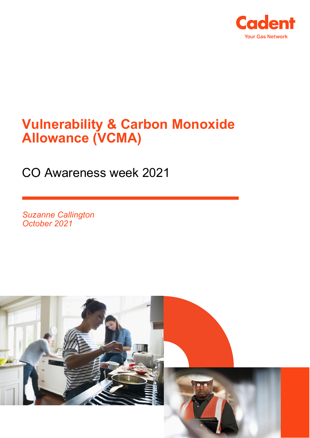

# **Vulnerability & Carbon Monoxide Allowance (VCMA)**

CO Awareness week 2021

*Suzanne Callington October 2021*

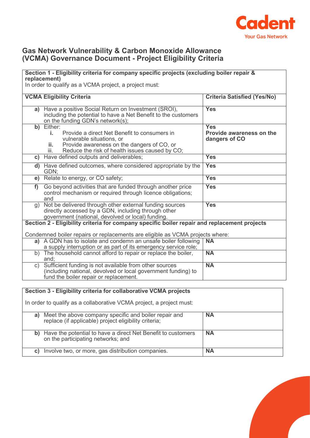

## **Gas Network Vulnerability & Carbon Monoxide Allowance (VCMA) Governance Document - Project Eligibility Criteria**

### **Section 1 - Eligibility criteria for company specific projects (excluding boiler repair & replacement)**

In order to qualify as a VCMA project, a project must:

|    | <b>VCMA Eligibility Criteria</b>                                                                                                                                                                             | <b>Criteria Satisfied (Yes/No)</b>                      |  |
|----|--------------------------------------------------------------------------------------------------------------------------------------------------------------------------------------------------------------|---------------------------------------------------------|--|
|    | a) Have a positive Social Return on Investment (SROI),<br>including the potential to have a Net Benefit to the customers<br>on the funding GDN's network(s);                                                 | <b>Yes</b>                                              |  |
|    | b) Either:<br>Provide a direct Net Benefit to consumers in<br>j.<br>vulnerable situations, or<br>Provide awareness on the dangers of CO, or<br>ii.<br>Reduce the risk of health issues caused by CO;<br>iii. | <b>Yes</b><br>Provide awareness on the<br>dangers of CO |  |
| C) | Have defined outputs and deliverables;                                                                                                                                                                       | <b>Yes</b>                                              |  |
|    | d) Have defined outcomes, where considered appropriate by the<br>GDN:                                                                                                                                        | <b>Yes</b>                                              |  |
|    | e) Relate to energy, or CO safety;                                                                                                                                                                           | <b>Yes</b>                                              |  |
| f) | Go beyond activities that are funded through another price<br>control mechanism or required through licence obligations;<br>and                                                                              | <b>Yes</b>                                              |  |
| g) | Not be delivered through other external funding sources<br>directly accessed by a GDN, including through other<br>government (national, devolved or local) funding.                                          | <b>Yes</b>                                              |  |
|    | Section 2 - Eligibility criteria for company specific boiler repair and replacement projects                                                                                                                 |                                                         |  |
|    | Condemned boiler repairs or replacements are eligible as VCMA projects where:                                                                                                                                |                                                         |  |
|    | a) A GDN has to isolate and condemn an unsafe boiler following<br>a supply interruption or as part of its emergency service role;                                                                            | <b>NA</b>                                               |  |
|    | b) The household cannot afford to repair or replace the boiler,<br>and:                                                                                                                                      | <b>NA</b>                                               |  |
| C) | Sufficient funding is not available from other sources<br>(including national, devolved or local government funding) to<br>fund the boiler repair or replacement.                                            | <b>NA</b>                                               |  |

#### **Section 3 - Eligibility criteria for collaborative VCMA projects**

In order to qualify as a collaborative VCMA project, a project must:

| Meet the above company specific and boiler repair and<br>a)<br>replace (if applicable) project eligibility criteria; | <b>NA</b> |
|----------------------------------------------------------------------------------------------------------------------|-----------|
| b) Have the potential to have a direct Net Benefit to customers<br>on the participating networks; and                | <b>NA</b> |
| Involve two, or more, gas distribution companies.<br>C)                                                              | <b>NA</b> |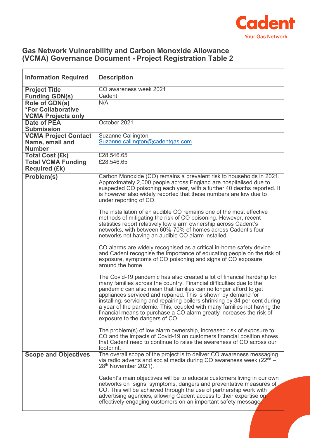

## **Gas Network Vulnerability and Carbon Monoxide Allowance (VCMA) Governance Document - Project Registration Table 2**

| <b>Information Required</b>                                              | <b>Description</b>                                                                                                                                                                                                                                                                                                                                                                                                                                                                                                                                     |  |
|--------------------------------------------------------------------------|--------------------------------------------------------------------------------------------------------------------------------------------------------------------------------------------------------------------------------------------------------------------------------------------------------------------------------------------------------------------------------------------------------------------------------------------------------------------------------------------------------------------------------------------------------|--|
| <b>Project Title</b>                                                     | CO awareness week 2021                                                                                                                                                                                                                                                                                                                                                                                                                                                                                                                                 |  |
| <b>Funding GDN(s)</b>                                                    | Cadent                                                                                                                                                                                                                                                                                                                                                                                                                                                                                                                                                 |  |
| Role of GDN(s)<br><b>*For Collaborative</b><br><b>VCMA Projects only</b> | N/A                                                                                                                                                                                                                                                                                                                                                                                                                                                                                                                                                    |  |
| <b>Date of PEA</b><br><b>Submission</b>                                  | October 2021                                                                                                                                                                                                                                                                                                                                                                                                                                                                                                                                           |  |
| <b>VCMA Project Contact</b><br>Name, email and<br><b>Number</b>          | <b>Suzanne Callington</b><br>Suzanne.callington@cadentgas.com                                                                                                                                                                                                                                                                                                                                                                                                                                                                                          |  |
| <b>Total Cost (£k)</b>                                                   | £28,546.65                                                                                                                                                                                                                                                                                                                                                                                                                                                                                                                                             |  |
| <b>Total VCMA Funding</b><br><b>Required (£k)</b>                        | £28,546.65                                                                                                                                                                                                                                                                                                                                                                                                                                                                                                                                             |  |
| Problem(s)                                                               | Carbon Monoxide (CO) remains a prevalent risk to households in 2021.<br>Approximately 2,000 people across England are hospitalised due to<br>suspected CO poisoning each year, with a further 40 deaths reported. It<br>is however also widely reported that these numbers are low due to<br>under reporting of CO.                                                                                                                                                                                                                                    |  |
|                                                                          | The installation of an audible CO remains one of the most effective<br>methods of mitigating the risk of CO poisoning. However, recent<br>statistics report relatively low alarm ownership across Cadent's<br>networks, with between 60%-70% of homes across Cadent's four<br>networks not having an audible CO alarm installed.                                                                                                                                                                                                                       |  |
|                                                                          | CO alarms are widely recognised as a critical in-home safety device<br>and Cadent recognise the importance of educating people on the risk of<br>exposure, symptoms of CO poisoning and signs of CO exposure<br>around the home.                                                                                                                                                                                                                                                                                                                       |  |
|                                                                          | The Covid-19 pandemic has also created a lot of financial hardship for<br>many families across the country. Financial difficulties due to the<br>pandemic can also mean that families can no longer afford to get<br>appliances serviced and repaired. This is shown by demand for<br>installing, servicing and repairing boilers shrinking by 34 per cent during<br>a year of the pandemic. This, coupled with many families not having the<br>financial means to purchase a CO alarm greatly increases the risk of<br>exposure to the dangers of CO. |  |
|                                                                          | The problem(s) of low alarm ownership, increased risk of exposure to<br>CO and the impacts of Covid-19 on customers financial position shows<br>that Cadent need to continue to raise the awareness of CO across our<br>footprint.                                                                                                                                                                                                                                                                                                                     |  |
| <b>Scope and Objectives</b>                                              | The overall scope of the project is to deliver CO awareness messaging<br>via radio adverts and social media during CO awareness week $(22^{nd} -$<br>28 <sup>th</sup> November 2021).                                                                                                                                                                                                                                                                                                                                                                  |  |
|                                                                          | Cadent's main objectives will be to educate customers living in our own<br>networks on signs, symptoms, dangers and preventative measures of<br>CO. This will be achieved through the use of partnership work with<br>advertising agencies, allowing Cadent access to their expertise on<br>effectively engaging customers on an important safety message.                                                                                                                                                                                             |  |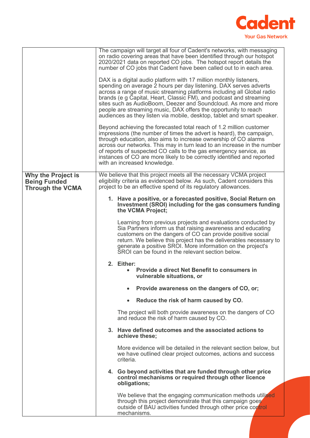

|                                                                      | The campaign will target all four of Cadent's networks, with messaging<br>on radio covering areas that have been identified through our hotspot<br>2020/2021 data on reported CO jobs. The hotspot report details the<br>number of CO jobs that Cadent have been called out to in each area.                                                                                                                                                                                                              |  |
|----------------------------------------------------------------------|-----------------------------------------------------------------------------------------------------------------------------------------------------------------------------------------------------------------------------------------------------------------------------------------------------------------------------------------------------------------------------------------------------------------------------------------------------------------------------------------------------------|--|
|                                                                      | DAX is a digital audio platform with 17 million monthly listeners,<br>spending on average 2 hours per day listening. DAX serves adverts<br>across a range of music streaming platforms including all Global radio<br>brands (e g Capital, Heart, Classic FM), and podcast and streaming<br>sites such as AudioBoom, Deezer and Soundcloud. As more and more<br>people are streaming music, DAX offers the opportunity to reach<br>audiences as they listen via mobile, desktop, tablet and smart speaker. |  |
|                                                                      | Beyond achieving the forecasted total reach of 1.2 million customer<br>impressions (the number of times the advert is heard), the campaign,<br>through education, also aims to increase ownership of CO alarms<br>across our networks. This may in turn lead to an increase in the number<br>of reports of suspected CO calls to the gas emergency service, as<br>instances of CO are more likely to be correctly identified and reported<br>with an increased knowledge.                                 |  |
| Why the Project is<br><b>Being Funded</b><br><b>Through the VCMA</b> | We believe that this project meets all the necessary VCMA project<br>eligibility criteria as evidenced below. As such, Cadent considers this<br>project to be an effective spend of its regulatory allowances.                                                                                                                                                                                                                                                                                            |  |
|                                                                      | 1. Have a positive, or a forecasted positive, Social Return on<br>Investment (SROI) including for the gas consumers funding<br>the VCMA Project;                                                                                                                                                                                                                                                                                                                                                          |  |
|                                                                      | Learning from previous projects and evaluations conducted by<br>Sia Partners inform us that raising awareness and educating<br>customers on the dangers of CO can provide positive social<br>return. We believe this project has the deliverables necessary to<br>generate a positive SROI. More information on the project's<br>SROI can be found in the relevant section below.                                                                                                                         |  |
|                                                                      | 2. Either:<br><b>Provide a direct Net Benefit to consumers in</b><br>vulnerable situations, or                                                                                                                                                                                                                                                                                                                                                                                                            |  |
|                                                                      | Provide awareness on the dangers of CO, or;                                                                                                                                                                                                                                                                                                                                                                                                                                                               |  |
|                                                                      | Reduce the risk of harm caused by CO.<br>$\bullet$                                                                                                                                                                                                                                                                                                                                                                                                                                                        |  |
|                                                                      | The project will both provide awareness on the dangers of CO<br>and reduce the risk of harm caused by CO.                                                                                                                                                                                                                                                                                                                                                                                                 |  |
|                                                                      | 3. Have defined outcomes and the associated actions to<br>achieve these;                                                                                                                                                                                                                                                                                                                                                                                                                                  |  |
|                                                                      | More evidence will be detailed in the relevant section below, but<br>we have outlined clear project outcomes, actions and success<br>criteria.                                                                                                                                                                                                                                                                                                                                                            |  |
|                                                                      | 4. Go beyond activities that are funded through other price<br>control mechanisms or required through other licence<br>obligations;                                                                                                                                                                                                                                                                                                                                                                       |  |
|                                                                      | We believe that the engaging communication methods utilised<br>through this project demonstrate that this campaign goes<br>outside of BAU activities funded through other price control<br>mechanisms.                                                                                                                                                                                                                                                                                                    |  |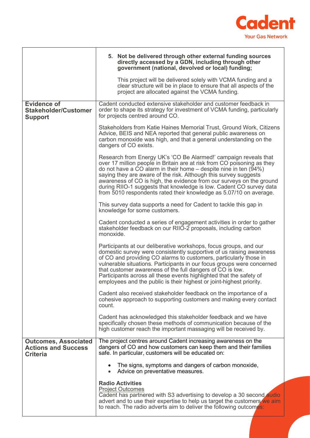

|                                                                              | 5. Not be delivered through other external funding sources<br>directly accessed by a GDN, including through other<br>government (national, devolved or local) funding;<br>This project will be delivered solely with VCMA funding and a<br>clear structure will be in place to ensure that all aspects of the<br>project are allocated against the VCMA funding.                                                                                                                                           |  |
|------------------------------------------------------------------------------|------------------------------------------------------------------------------------------------------------------------------------------------------------------------------------------------------------------------------------------------------------------------------------------------------------------------------------------------------------------------------------------------------------------------------------------------------------------------------------------------------------|--|
| <b>Evidence of</b><br><b>Stakeholder/Customer</b><br><b>Support</b>          | Cadent conducted extensive stakeholder and customer feedback in<br>order to shape its strategy for investment of VCMA funding, particularly<br>for projects centred around CO.                                                                                                                                                                                                                                                                                                                             |  |
|                                                                              | Stakeholders from Katie Haines Memorial Trust, Ground Work, Citizens<br>Advice, BEIS and NEA reported that general public awareness on<br>carbon monoxide was high, and that a general understanding on the<br>dangers of CO exists.                                                                                                                                                                                                                                                                       |  |
|                                                                              | Research from Energy UK's 'CO Be Alarmed!' campaign reveals that<br>over 17 million people in Britain are at risk from CO poisoning as they<br>do not have a CO alarm in their home $-$ despite nine in ten (94%)<br>saying they are aware of the risk. Although this survey suggests<br>awareness of CO is high, the evidence from our surveys on the ground<br>during RIIO-1 suggests that knowledge is low. Cadent CO survey data<br>from 5010 respondents rated their knowledge as 5.07/10 on average. |  |
|                                                                              | This survey data supports a need for Cadent to tackle this gap in<br>knowledge for some customers.                                                                                                                                                                                                                                                                                                                                                                                                         |  |
|                                                                              | Cadent conducted a series of engagement activities in order to gather<br>stakeholder feedback on our RIIO-2 proposals, including carbon<br>monoxide.                                                                                                                                                                                                                                                                                                                                                       |  |
|                                                                              | Participants at our deliberative workshops, focus groups, and our<br>domestic survey were consistently supportive of us raising awareness<br>of CO and providing CO alarms to customers, particularly those in<br>vulnerable situations. Participants in our focus groups were concerned<br>that customer awareness of the full dangers of CO is low.<br>Participants across all these events highlighted that the safety of<br>employees and the public is their highest or joint-highest priority.       |  |
|                                                                              | Cadent also received stakeholder feedback on the importance of a<br>cohesive approach to supporting customers and making every contact<br>count.                                                                                                                                                                                                                                                                                                                                                           |  |
|                                                                              | Cadent has acknowledged this stakeholder feedback and we have<br>specifically chosen these methods of communication because of the<br>high customer reach the important massaging will be received by.                                                                                                                                                                                                                                                                                                     |  |
| <b>Outcomes, Associated</b><br><b>Actions and Success</b><br><b>Criteria</b> | The project centres around Cadent increasing awareness on the<br>dangers of CO and how customers can keep them and their families<br>safe. In particular, customers will be educated on:                                                                                                                                                                                                                                                                                                                   |  |
|                                                                              | The signs, symptoms and dangers of carbon monoxide,<br>Advice on preventative measures.<br>$\bullet$                                                                                                                                                                                                                                                                                                                                                                                                       |  |
|                                                                              | <b>Radio Activities</b><br><b>Project Outcomes</b><br>Cadent has partnered with S3 advertising to develop a 30 second audio<br>advert and to use their expertise to help us target the customers we aim<br>to reach. The radio adverts aim to deliver the following outcomes:                                                                                                                                                                                                                              |  |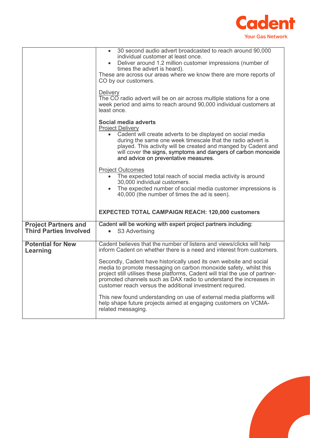

|                                                              | 30 second audio advert broadcasted to reach around 90,000<br>individual customer at least once.<br>Deliver around 1.2 million customer impressions (number of<br>times the advert is heard).<br>These are across our areas where we know there are more reports of<br>CO by our customers.<br>Delivery<br>The CO radio advert will be on air across multiple stations for a one<br>week period and aims to reach around 90,000 individual customers at                                                        |
|--------------------------------------------------------------|---------------------------------------------------------------------------------------------------------------------------------------------------------------------------------------------------------------------------------------------------------------------------------------------------------------------------------------------------------------------------------------------------------------------------------------------------------------------------------------------------------------|
|                                                              | least once.<br>Social media adverts<br><b>Project Delivery</b><br>Cadent will create adverts to be displayed on social media<br>during the same one week timescale that the radio advert is<br>played. This activity will be created and manged by Cadent and<br>will cover the signs, symptoms and dangers of carbon monoxide<br>and advice on preventative measures.                                                                                                                                        |
|                                                              | <b>Project Outcomes</b><br>The expected total reach of social media activity is around<br>30,000 individual customers.<br>The expected number of social media customer impressions is<br>40,000 (the number of times the ad is seen).<br><b>EXPECTED TOTAL CAMPAIGN REACH: 120,000 customers</b>                                                                                                                                                                                                              |
| <b>Project Partners and</b><br><b>Third Parties Involved</b> | Cadent will be working with expert project partners including:<br>• S3 Advertising                                                                                                                                                                                                                                                                                                                                                                                                                            |
| <b>Potential for New</b><br>Learning                         | Cadent believes that the number of listens and views/clicks will help<br>inform Cadent on whether there is a need and interest from customers.<br>Secondly, Cadent have historically used its own website and social<br>media to promote messaging on carbon monoxide safety, whilst this<br>project still utilises these platforms, Cadent will trial the use of partner-<br>promoted channels such as DAX radio to understand the increases in<br>customer reach versus the additional investment required. |
|                                                              | This new found understanding on use of external media platforms will<br>help shape future projects aimed at engaging customers on VCMA-<br>related messaging.                                                                                                                                                                                                                                                                                                                                                 |

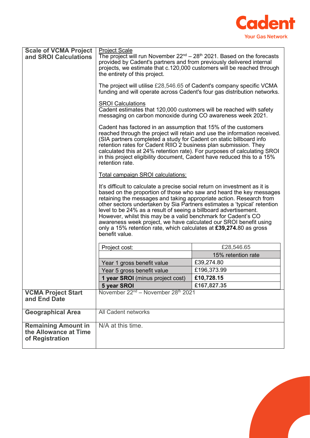

|                                                                        | projects, we estimate that c.120,000 customers will be reached through<br>the entirety of this project.                                                                                                                                                                                                                                                                                                                                                                                                                                                                                                |                    |  |
|------------------------------------------------------------------------|--------------------------------------------------------------------------------------------------------------------------------------------------------------------------------------------------------------------------------------------------------------------------------------------------------------------------------------------------------------------------------------------------------------------------------------------------------------------------------------------------------------------------------------------------------------------------------------------------------|--------------------|--|
|                                                                        | The project will utilise £28,546.65 of Cadent's company specific VCMA<br>funding and will operate across Cadent's four gas distribution networks.                                                                                                                                                                                                                                                                                                                                                                                                                                                      |                    |  |
|                                                                        | <b>SROI Calculations</b><br>Cadent estimates that 120,000 customers will be reached with safety<br>messaging on carbon monoxide during CO awareness week 2021.                                                                                                                                                                                                                                                                                                                                                                                                                                         |                    |  |
|                                                                        | Cadent has factored in an assumption that 15% of the customers<br>reached through the project will retain and use the information received.<br>(SIA partners completed a study for Cadent on static billboard info<br>retention rates for Cadent RIIO 2 business plan submission. They<br>calculated this at 24% retention rate). For purposes of calculating SROI<br>in this project eligibility document, Cadent have reduced this to a 15%<br>retention rate.                                                                                                                                       |                    |  |
|                                                                        | Total campaign SROI calculations:                                                                                                                                                                                                                                                                                                                                                                                                                                                                                                                                                                      |                    |  |
|                                                                        | It's difficult to calculate a precise social return on investment as it is<br>based on the proportion of those who saw and heard the key messages<br>retaining the messages and taking appropriate action. Research from<br>other sectors undertaken by Sia Partners estimates a 'typical' retention<br>level to be 24% as a result of seeing a billboard advertisement.<br>However, whilst this may be a valid benchmark for Cadent's CO<br>awareness week project, we have calculated our SROI benefit using<br>only a 15% retention rate, which calculates at £39,274.80 as gross<br>benefit value. |                    |  |
|                                                                        | Project cost:                                                                                                                                                                                                                                                                                                                                                                                                                                                                                                                                                                                          | £28,546.65         |  |
|                                                                        |                                                                                                                                                                                                                                                                                                                                                                                                                                                                                                                                                                                                        | 15% retention rate |  |
|                                                                        | Year 1 gross benefit value                                                                                                                                                                                                                                                                                                                                                                                                                                                                                                                                                                             | £39,274.80         |  |
|                                                                        | Year 5 gross benefit value                                                                                                                                                                                                                                                                                                                                                                                                                                                                                                                                                                             | £196,373.99        |  |
|                                                                        | 1 year SROI (minus project cost)                                                                                                                                                                                                                                                                                                                                                                                                                                                                                                                                                                       | £10,728.15         |  |
|                                                                        | 5 year SROI                                                                                                                                                                                                                                                                                                                                                                                                                                                                                                                                                                                            | £167,827.35        |  |
| <b>VCMA Project Start</b><br>and End Date                              | November 22 <sup>nd</sup> – November 28 <sup>th</sup> 2021                                                                                                                                                                                                                                                                                                                                                                                                                                                                                                                                             |                    |  |
| <b>Geographical Area</b>                                               | All Cadent networks                                                                                                                                                                                                                                                                                                                                                                                                                                                                                                                                                                                    |                    |  |
| <b>Remaining Amount in</b><br>the Allowance at Time<br>of Registration | N/A at this time.                                                                                                                                                                                                                                                                                                                                                                                                                                                                                                                                                                                      |                    |  |

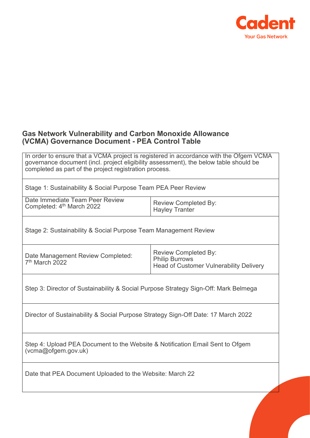

## **Gas Network Vulnerability and Carbon Monoxide Allowance (VCMA) Governance Document - PEA Control Table**

In order to ensure that a VCMA project is registered in accordance with the Ofgem VCMA governance document (incl. project eligibility assessment), the below table should be completed as part of the project registration process.

Stage 1: Sustainability & Social Purpose Team PEA Peer Review

| Date Immediate Team Peer Review<br>Completed: 4 <sup>th</sup> March 2022 | Review Completed By:  |
|--------------------------------------------------------------------------|-----------------------|
|                                                                          | <b>Hayley Tranter</b> |

Stage 2: Sustainability & Social Purpose Team Management Review

Date Management Review Completed:  $7<sup>th</sup>$  March 2022

Review Completed By: Philip Burrows Head of Customer Vulnerability Delivery

Step 3: Director of Sustainability & Social Purpose Strategy Sign-Off: Mark Belmega

Director of Sustainability & Social Purpose Strategy Sign-Off Date: 17 March 2022

Step 4: Upload PEA Document to the Website & Notification Email Sent to Ofgem (vcma@ofgem.gov.uk)

Date that PEA Document Uploaded to the Website: March 22